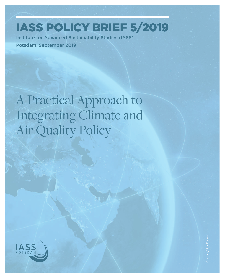IASS Policy Brief 5/2019

Institute for Advanced Sustainability Studies (IASS) Potsdam, September 2019

A Practical Approach to Integrating Climate and Air Quality Policy

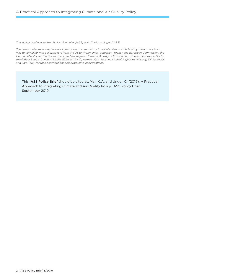*This policy brief was written by Kathleen Mar (IASS) and Charlotte Unger (IASS).* 

*The case studies reviewed here are in part based on semi-structured interviews carried out by the authors from May to July 2019 with policymakers from the US Environmental Protection Agency, the European Commission, the German Ministry for the Environment, and the Nigerian Federal Ministry of Environment. The authors would like to thank Bala Bappa, Christine Bindal, Elizabeth Dirth, Asmau Jibril, Susanne Lindahl, Ingeborg Niestroy, Till Spranger, and Sara Terry for their contributions and productive conversations.*

This **IASS Policy Brief** should be cited as: Mar, K. A. and Unger, C. (2019): A Practical Approach to Integrating Climate and Air Quality Policy, IASS Policy Brief, September 2019.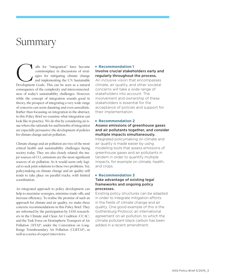## Summary

alls for "integration" have become commonplace in discussions of strategies for mitigating climate change and implementing the UN Sustainable alls for "integration" have become commonplace in discussions of strategies for mitigating climate change and implementing the UN Sustainable Development Goals. This can be seen as a natural consequence of the complexity and interconnectedness of today's sustainability challenges. However, while the concept of integration sounds good in theory, the prospect of integrating a very wide range of concerns can seem daunting and even unrealistic. Rather than focussing on integration in the abstract, in this Policy Brief we examine what integration can look like in practice. We do this by considering an issue where the rationale for and benefits of integration are especially persuasive: the development of policies for climate change and air pollution.

Climate change and air pollution are two of the most critical health and sustainability challenges facing society today. They are also closely related: the major sources of CO<sub>2</sub> emissions are the most significant sources of air pollution. So it would seem only logical to seek joint solutions to these two problems. Yet, policymaking on climate change and air quality still tends to take place on parallel tracks, with limited coordination.

An integrated approach to policy development can help to maximise synergies, minimise trade-offs, and increase efficiency. To realise the promise of such an approach for climate and air quality, we make three concrete recommendations in this Policy Brief. They are informed by the participation by IASS researchers in the Climate and Clean Air Coalition (CCAC) and the Task Force on Hemispheric Transport of Air Pollution (HTAP) under the Convention on Long-Range Transboundary Air Pollution (CLRTAP), as well as a series of expert interviews.

#### **Recommendation 1**

#### Involve crucial stakeholders early and regularly throughout the process.

An inclusive vision that encompasses climate, air quality, and other societal concerns will take a wide range of stakeholders into account. The involvement and ownership of these stakeholders is essential for the acceptance of policies and support for their implementation.

#### **Recommendation 2**

#### Assess emissions of greenhouse gases and air pollutants together, and consider multiple impacts simultaneously.

Integrated policymaking on climate and air quality is made easier by using modelling tools that assess emissions of greenhouse gases and air pollutants in tandem in order to quantify multiple impacts, for example on climate, health, and crops.

#### **Recommendation 3**

#### Take advantage of existing legal frameworks and ongoing policy processes.

Existing policy structures can be adapted in order to integrate mitigation efforts in the fields of climate change and air quality. One good example of this is the Gothenburg Protocol, an international agreement on air pollution, to which the climate pollutant black carbon has been added in a recent amendment.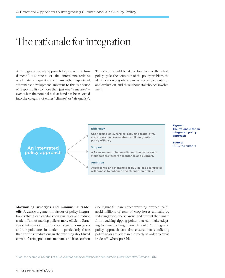## The rationale for integration

An integrated policy approach begins with a fundamental awareness of the interconnectedness of climate, air quality, and many other aspects of sustainable development. Inherent to this is a sense of responsibility to more than just one "issue area" – even when the nominal task at hand has been sorted into the category of either "climate" or "air quality".

This vision should be at the forefront of the whole policy cycle: the definition of the policy problem, the identification of goals and measures, implementation and evaluation, and throughout stakeholder involvement.



**Figure 1: The rationale for an integrated policy approach**

**Source:**  IASS/the authors

**Maximising synergies and minimising tradeoffs:** A classic argument in favour of policy integration is that it can capitalise on synergies and reduce trade-offs, thus making policies more efficient. Strategies that consider the reduction of greenhouse gases and air pollutants in tandem – particularly those that prioritise reductions in the warming short-lived climate-forcing pollutants methane and black carbon

(see Figure 2) – can reduce warming, protect health, avoid millions of tons of crop losses annually by reducing tropospheric ozone, and prevent the climate from reaching tipping points that can make adapting to climate change more difficult.<sup>1</sup> An integrated policy approach can also ensure that conflicting policy goals are addressed directly in order to avoid trade-offs where possible.

1 See, for example, Shindell et al., *A climate policy pathway for near- and long-term benefits, Science,* 2017.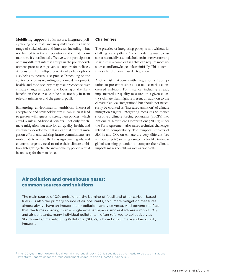**Mobilising support:** By its nature, integrated policymaking on climate and air quality captures a wide range of stakeholders and interests, including – but not limited to – the air pollution and climate communities. If coordinated effectively, the participation of many different interest groups in the policy development process can galvanise support for policies. A focus on the multiple benefits of policy options also helps to increase acceptance. Depending on the context, concerns regarding economic development, health, and food security may take precedence over climate change mitigation, and focusing on the likely benefits in these areas can help secure buy-in from relevant ministries and the general public.

**Enhancing environmental ambition.** Increased acceptance and stakeholder buy-in can in turn lead to greater willingness to strengthen policies, which could result in additional benefits – not only for climate mitigation, but also for air quality, health, and sustainable development. It is clear that current mitigation efforts and existing future commitments are inadequate to achieve the Paris Agreement goals, and countries urgently need to raise their climate ambition. Integrating climate and air quality policies could be one way for them to do so.

#### **Challenges**

The practice of integrating policy is not without its challenges and pitfalls. Accommodating multiple issue areas and diverse stakeholders in one overarching structure is a complex task that can require more resources and knowledge, at least initially. This is sometimes a hurdle to increased integration.

Another risk that comes with integration is the temptation to present business-as-usual scenarios as increased ambition. For instance, including already implemented air quality measures in a given country's climate plan might represent an addition to the climate plan via "integration", but should not necessarily be counted as "increased ambition" of climate mitigation targets. Integrating measures to reduce short-lived climate forcing pollutants (SLCPs) into Nationally Determiend Contributions (NDCs) under the Paris Agreement also raises technical challenges related to comparability. The temporal impacts of  $SLCPs$  and  $CO<sub>2</sub>$  on climate are very different (see textbox on p. 10) so using a single metric like 100-year global warming potential<sup>2</sup> to compare their climate impacts masks benefits as well as trade-offs.

### Air pollution and greenhouse gases: common sources and solutions

The main source of  $CO<sub>2</sub>$  emissions - the burning of fossil and other carbon-based fuels – is also the primary source of air pollutants, so climate mitigation measures almost always have an impact on air pollution, and vice versa. And beyond the fact that the fumes coming from a single exhaust pipe or smokestack are a mix of  $CO<sub>2</sub>$ and air pollutants, many individual pollutants – often referred to collectively as Short-lived Climate-forcing Pollutants (SLCPs) – have both climate and air quality impacts.

2 The 100-year time-horizon global warming potential (GWP100) is specified as the metric to be used in National Inventory Reports under the Paris Agreement under Decision 18/CMA.1 (Annex §37).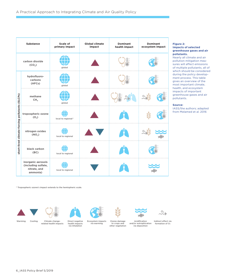| <b>Substance</b>                                  |                                                                       | Scale of<br>primary impact | <b>Global climate</b><br>impact | <b>Dominant</b><br>health impact | <b>Dominant</b><br>ecosystem impact |
|---------------------------------------------------|-----------------------------------------------------------------------|----------------------------|---------------------------------|----------------------------------|-------------------------------------|
| carbon dioxide<br>(CO <sub>2</sub> )              |                                                                       | global                     |                                 |                                  |                                     |
| (SLCPS)<br>short-lived climate-forcing pollutants | hydrofluoro-<br>carbons<br>(HFCs)                                     | global                     |                                 |                                  |                                     |
|                                                   | methane<br>CH <sub>4</sub>                                            | global                     |                                 |                                  |                                     |
|                                                   | tropospheric ozone<br>(O <sub>3</sub> )                               | local to regional*         |                                 |                                  |                                     |
|                                                   | nitrogen oxides<br>(NO <sub>x</sub> )                                 | local to regional          |                                 |                                  |                                     |
|                                                   | black carbon<br>(BC)                                                  | local to regional          |                                 |                                  |                                     |
|                                                   | inorganic aerosols<br>(including sulfate,<br>nitrate, and<br>ammonia) | local to regional          |                                 |                                  |                                     |

\* Tropospheric ozone's impact extends to the hemispheric scale.



Warming Cooling













Direct negative health impacts via inhalation via warming





other vegetation







Indirect effect via<br>formation of  $O_3$ 

#### **Figure 2: Impacts of selected greenhouse gases and air pollutants.**

Nearly all climate and air pollution mitigation measures will affect emissions of multiple pollutants, all of which should be considered during the policy development process. This table gives an overview of the most important climate, health, and ecosystem impacts of important greenhouse gases and air pollutants.

#### **Source:**

IASS/the authors; adapted from Melamed et al. 2016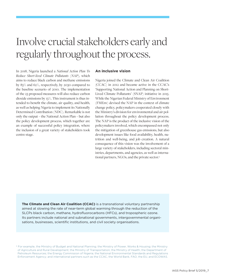## Involve crucial stakeholders early and regularly throughout the process.

In 2018, Nigeria launched a *National Action Plan To Reduce Short-lived Climate Pollutants (NAP)*, which aims to reduce black carbon and methane emissions by 83 % and 62 %, respectively, by 2030 compared to the baseline scenario of 2010. The implementation of the 23 proposed measures will also reduce carbon dioxide emissions by 13 %. This instrument is thus intended to benefit the climate, air quality, and health, as well as helping Nigeria to implement its Nationally Determined Contribution (NDC). Remarkable is not only the output – the National Action Plan – but also the policy development process, which together are an example of successful policy integration, where the inclusion of a great variety of stakeholders took centre stage.

#### **An inclusive vision**

Nigeria joined the Climate and Clean Air Coalition (CCAC) in 2012 and became active in the CCAC's 'Supporting National Action and Planning on Short-Lived Climate Pollutants' (SNAP) initiative in 2015. While the Nigerian Federal Ministry of Environment (FMEnv) devised the NAP in the context of climate change policy, policymakers cooperated closely with the Ministry's division for environmental and air pollution throughout the policy development process. The NAP is the product of the inclusive vision of the policymakers involved, which encompassed not only the mitigation of greenhouse gas emissions, but also development issues like food availability, health, nutrition and well-being, and job creation. A natural consequence of this vision was the involvement of a large variety of stakeholders, including sectoral ministries, departments, and agencies, as well as international partners, NGOs, and the private sector.3

**The Climate and Clean Air Coalition (CCAC)** is a transnational voluntary partnership aimed at slowing the rate of near-term global warming through the reduction of the SLCPs black carbon, methane, hydrofluorocarbons (HFCs), and tropospheric ozone. Its partners include national and subnational governments, intergovernmental organisations, businesses, scientific institutions, and civil society organisations.

<sup>3</sup> For example, the Ministry of Budget and National Planning; the Ministry of Power, Works & Housing; the Ministry of Agriculture and Rural Development; the Ministry of Transportation; the Ministry of Health; the Department of Petroleum Resources; the Energy Commission of Nigeria; the National Environmental Standards and Regulations Enforcement Agency; and international partners such as the CCAC, the World Bank, FAO, the EU, and ECOWAS.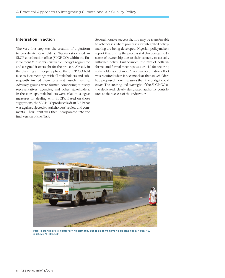#### **Integration in action**

The very first step was the creation of a platform to coordinate stakeholders: Nigeria established an SLCP coordination office (SLCP CO) within the Environment Ministry's Renewable Energy Programme and assigned it oversight for the process. Already in the planning and scoping phase, the SLCP CO held face-to-face meetings with all stakeholders and subsequently invited them to a first launch meeting. Advisory groups were formed comprising ministry representatives, agencies, and other stakeholders. In these groups, stakeholders were asked to suggest measures for dealing with SLCPs. Based on those suggestions, the SLCP CO produced a draft NAP that was again subjected to stakeholders' review and comments. Their input was then incorporated into the final version of the NAP.

Several notable success factors may be transferrable to other cases where processes for integrated policymaking are being developed. Nigerian policymakers report that during the process stakeholders gained a sense of ownership due to their capacity to actually influence policy. Furthermore, the mix of both informal and formal meetings was crucial for securing stakeholder acceptance. An extra coordination effort was required when it became clear that stakeholders had proposed more measures than the budget could cover. The steering and oversight of the SLCP CO as the dedicated, clearly designated authority contributed to the success of the endeavour.



**Public transport is good for the climate, but it doesn't have to be bad for air quality. © istock/Linkbeek**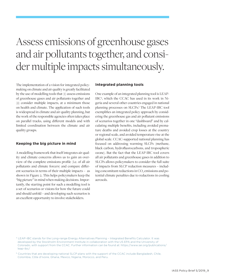## Assess emissions of greenhouse gases and air pollutants together, and consider multiple impacts simultaneously.

The implementation of a vision for integrated policymaking on climate and air quality is greatly facilitated by the use of modelling tools that (1) assess emissions of greenhouse gases and air pollutants together and (2) consider multiple impacts, at a minimum those on health and climate. The application of such tools is widespread in climate and air quality planning, but the work of the responsible agencies often takes place on parallel tracks, using different models and with limited coordination between the climate and air quality groups.

#### **Keeping the big picture in mind**

A modelling framework that itself integrates air quality and climate concerns allows us to gain an overview of the complete emissions profile (i.e. of all air pollutants and climate forcers) and compare different scenarios in terms of their multiple impacts – as shown in Figure 2. This helps policymakers keep the "big picture" in mind when making decisions. Importantly, the starting point for such a modelling tool is a set of scenarios or visions for how the future could and should unfold – and developing such scenarios is an excellent opportunity to involve stakeholders.

#### **Integrated planning tools**

One example of an integrated planning tool is LEAP-IBC4 , which the CCAC has used in its work in Nigeria and several other countries engaged in national planning processes on SLCPs.5 The LEAP-IBC tool exemplifies an integrated policy approach by considering the greenhouse gas and air pollutant emissions of scenarios together in one "dashboard" and by calculating multiple benefits, including avoided premature deaths and avoided crop losses at the country or regional scale, and avoided temperature rise at the global scale. CCAC-supported national planning has focused on addressing warming SLCPs (methane, black carbon, hydrofluorocarbons, and tropospheric ozone). But the fact that the LEAP-IBC tool covers all air pollutants and greenhouse gases in addition to SLCPs allows policymakers to consider the full suite of impacts from SLCP reduction measures – including concomitant reductions in CO<sub>2</sub> emissions and potential climate penalties due to reductions in cooling aerosols.

<sup>4</sup> LEAP-IBC stands for the Long-range Energy Alternatives Planning – Integrated Benefits Calculator. It was developed by the Stockholm Environment Institute in collaboration with the US EPA and the University of Colorado, with support from the CCAC. Further information can be found at: https://www.sei.org/publications/ leap-ibc/

<sup>5</sup> Countries that are developing national SLCP plans with the support of the CCAC include Bangladesh, Chile, Colombia, Côte d'Ivoire, Ghana, Mexico, Nigeria, Morocco, and Peru.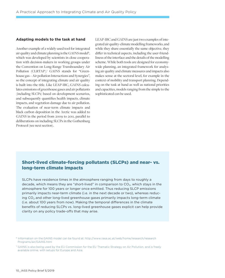#### **Adapting models to the task at hand**

Another example of a widely-used tool for integrated air quality and climate planning is the GAINS model<sup>6</sup>, which was developed by scientists in close cooperation with decision-makers in working groups under the Convention on Long-Range Transboundary Air Pollution (CLRTAP).<sup>7</sup> GAINS stands for "Greenhouse gas – Air pollution Interactions and Synergies", so the concept of integrating climate and air quality is built into the title. Like LEAP-IBC, GAINS calculates emissions of greenhouse gases and air pollutants (including SLCPs) based on development scenarios, and subsequently quantifies health impacts, climate impacts, and vegetation damage due to air pollution. The evaluation of near-term climate impacts and black carbon deposition in the Arctic was added to GAINS in the period from 2009 to 2011, parallel to deliberations on including SLCPs in the Gothenburg Protocol (see next section).

LEAP-IBC and GAINS are just two examples of integrated air quality-climate modelling frameworks, and while they share essentially the same objective, they differ in technical aspects, including the user-friendliness of the interface and the details of the modelling scheme. While both tools are designed for economywide planning, an integrated framework for analysing air quality and climate measures and impacts also makes sense at the sectoral level, for example in the context of mobility and transport planning. Depending on the task at hand as well as national priorities and capacities, models ranging from the simple to the sophisticated can be used.

### Short-lived climate-forcing pollutants (SLCPs) and near- vs. long-term climate impacts

SLCPs have residence times in the atmosphere ranging from days to roughly a decade, which means they are "short-lived" in comparison to  $CO<sub>2</sub>$ , which stays in the atmosphere for 100 years or longer once emitted. Thus reducing SLCP emissions primarily impacts near-term climate (i.e. in the next decade or two), whereas reducing  $CO<sub>2</sub>$  and other long-lived greenhouse gases primarily impacts long-term climate (i.e. about 100 years from now). Making the temporal differences in the climate benefits of reducing SLCPs vs. long-lived greenhouse gases explicit can help provide clarity on any policy trade-offs that may arise.

<sup>6</sup> Information on the GAINS model can be found at: http://www.iiasa.ac.at/web/home/research/research Programs/air/GAINS.html

<sup>7</sup> GAINS is also being used by the EU Commission for the EU Thematic Strategy on Air Pollution, and is freely available online, with setups for Europe and Asia.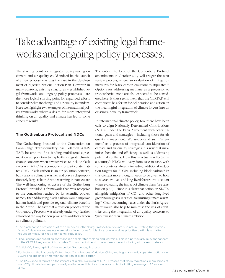# Take advantage of existing legal frameworks and ongoing policy processes.

The starting point for integrated policymaking on climate and air quality could indeed be the launch of a new process – as was the case in the development of Nigeria's National Action Plan. However, in many contexts, existing structures – established legal frameworks and ongoing policy processes – are the more logical starting point for expanded efforts to consider climate change and air quality in tandem. Here we highlight two examples of international policy frameworks where a desire for more integrated thinking on air quality and climate has led to some concrete results.

#### **The Gothenburg Protocol and NDCs**

The Gothenburg Protocol to the Convention on Long-Range Transboundary Air Pollution (CLR-TAP) became the first binding multilateral agreement on air pollution to explicitly integrate climate change concerns when it was revised to include black carbon in 2012.<sup>8</sup> As a component of particulate matter (PM), black carbon is an air pollution concern, but it also is a climate warmer and plays a disproportionately large role in Arctic warming in particular.9 The well-functioning structure of the Gothenburg Protocol provided a framework that was receptive to the conclusion reached by its scientific bodies, namely that addressing black carbon would improve human health and provide regional climate benefits in the Arctic. The fact that a revision process of the Gothenburg Protocol was already under way further smoothed the way for new provisions on black carbon as a climate pollutant.

The entry into force of the Gothenburg Protocol amendments in October 2019 will trigger the next review process, where an evaluation of mitigation measures for black carbon emissions is stipulated.10 Options for addressing methane as a precursor to tropospheric ozone are also expected to be considered here. It thus seems likely that the CLRTAP will continue to be a forum for deliberation and action on the meaningful integration of climate forcers into an existing air quality framework.

In international climate policy, too, there have been calls to align Nationally Determined Contributions (NDCs) under the Paris Agreement with other national goals and strategies – including those for air quality management. We understand such "alignment" as a process of integrated consideration of climate and air quality strategies in a way that maximises benefits and efficiency as well as addressing potential conflicts. How this is actually reflected in a country's NDCs will vary from case to case, with some countries already including additional reduction targets for SLCPs, including black carbon.<sup>11</sup> In this context more thought needs to be given to how to take short-lived and long-lived forcers into account when evaluating the impact of climate plans (see textbox on p. 10) – since it is clear that action on SLCPs, alongside mitigation of  $CO<sub>2</sub>$  and other long-lived greenhouse gases, is critical to limiting climate warming.12 Clear accounting rules under the Paris Agreement would also help to minimise the risk of countries using the integration of air quality concerns to "greenwash" their climate ambition.

- <sup>8</sup> The black carbon provisions of the amended Gothenburg Protocol are voluntary in nature, stating that parties "should" develop and maintain emissions inventories for black carbon as well as prioritise particulate matter reduction measures that significantly reduce BC.
- 9 Black carbon deposited on snow and ice accelerates melting and warming. This is a particularly relevant concern in the CLRTAP region, which includes 51 countries in the Northern Hemisphere, including all the Arctic states.

10 Article 10, Paragraph 3 of the amended Gothenburg Protocol.

- 11 For instance, the Nationally Determined Contributions of Mexico, Chile, and Nigeria include separate sections on SLCPs and specifically mention mitigation of black carbon.
- <sup>12</sup> The IPCC special report on the impacts of global warming of 1.5 °C stresses that deep reductions in emissions of non-CO<sub>2</sub> climate forcers, particularly methane and black carbon, are crucial to limiting warming to 1.5 or even 2 °C.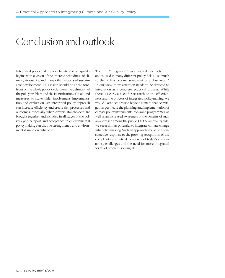## Conclusion and outlook

Integrated policymaking for climate and air quality begins with a vision of the interconnectedness of climate, air quality, and many other aspects of sustainable development. This vision should be at the forefront of the whole policy cycle, from the definition of the policy problem and the identification of goals and measures, to stakeholder involvement, implementation and evaluation. An integrated policy approach can increase efficiency and create rich processes and outcomes, especially when diverse stakeholders are brought together and included in all stages of the policy cycle. Support and acceptance in environmental policymaking can thus be strengthened and environmental ambition enhanced.

The term "integration" has attracted much attention and is used in many different policy fields – so much so that it has become somewhat of a "buzzword". In our view, more attention needs to be devoted to integration as a concrete, practical process. While there is clearly a need for research on the effectiveness and the process of integrated policymaking, we would like to see a vision beyond climate change mitigation permeate the planning and implementation of climate policy instruments, tools and programmes, as well as an increased awareness of the benefits of such an approach among the public. On the air quality side, we see a similar potential to integrate climate change into policymaking. Such an approach would be a constructive response to the growing recognition of the complexity and interdependency of today's sustainability challenges and the need for more integrated forms of problem-solving.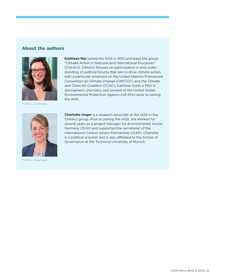### About the authors



© IASS; L. Ostermann



© IASS; L. Ostermann

**Kathleen Mar** joined the IASS in 2012 and leads the group "Climate Action in National and International Processes" (ClimAct). ClimAct focuses on participation in and understanding of political forums that aim to drive climate action, with a particular emphasis on the United Nations Framework Convention on Climate Change (UNFCCC) and the Climate and Clean Air Coalition (CCAC). Kathleen holds a PhD in atmospheric chemistry and worked at the United States Environmental Protection Agency (US EPA) prior to joining the IASS.

**Charlotte Unger** is a research associate at the IASS in the ClimAct group. Prior to joining the IASS, she worked for several years as a project manager for Environmental Action Germany (DUH) and supported the secretariat of the International Carbon Action Partnership (ICAP). Charlotte is a political scientist and is also affiliated to the School of Governance at the Technical University of Munich.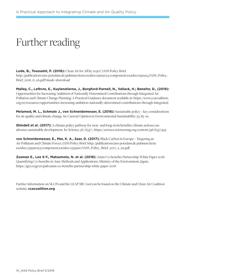# Further reading

**Lode, B., Toussaint, P. (2016):** Clean Air for All by 2030?, IASS Policy Brief. [http://publications.iass-potsdam.de/pubman/item/escidoc:1991912:5/component/escidoc:1991914/IASS\\_Policy\\_](http://publications.iass-potsdam.de/pubman/item/escidoc:1991912:5/component/escidoc:1991914/IASS_Policy_Brief_2016_6_en.pdf?mode=download) [Brief\\_2016\\_6\\_en.pdf?mode=download](http://publications.iass-potsdam.de/pubman/item/escidoc:1991912:5/component/escidoc:1991914/IASS_Policy_Brief_2016_6_en.pdf?mode=download) 

**Malley, C., Lefèvre, E., Kuylenstierna, J., Borgford-Parnell, N., Vallack, H.; Benefor, D., (2019):** Opportunities for Increasing Ambition of Nationally Determined Contributions through Integrated Air Pollution and Climate Change Planning: A Practical Guidance document available at: [https://www.ccacoalition.](https://www.ccacoalition.org/en/resources/opportunities-increasing-ambition-nationally-determined-contributions-through-integrated) [org/en/resources/opportunities-increasing-ambition-nationally-determined-contributions-through-integrated](https://www.ccacoalition.org/en/resources/opportunities-increasing-ambition-nationally-determined-contributions-through-integrated)

**Melamed, M. L., Schmale J., von Schneidemesser, E. (2016):** Sustainable policy – key considerations for air quality and climate change. In: Current Opinion in Environmental Sustainability 23, 85–91.

**Shindell et al. (2017):** A climate policy pathway for near- and long-term benefits: climate actions can advance sustainable development. In: Science, 56 (6337).<https://science.sciencemag.org/content/356/6337/493>

**von Schneidemesser, E., Mar, K. A., Saar, D. (2017):** Black Carbon in Europe – Targeting an Air Pollutant and Climate Forcer, IASS Policy Brief. [http://publications.iass-potsdam.de/pubman/item/](http://publications.iass-potsdam.de/pubman/item/escidoc:2359909:5/component/escidoc:2359910/IASS_Policy_Brief_2017_2_en.pdf) [escidoc:2359909:5/component/escidoc:2359910/IASS\\_Policy\\_Brief\\_2017\\_2\\_en.pdf](http://publications.iass-potsdam.de/pubman/item/escidoc:2359909:5/component/escidoc:2359910/IASS_Policy_Brief_2017_2_en.pdf)

**Zusman E., Lee S-Y., Matsumoto, N. et al. (2018):** Asian Co-benefits Partnership White Paper 2018, Quantifying Co-benefits in Asia: Methods and Applications, Ministry of the Environment, Japan. [https://iges.or.jp/en/pub/asian-co-benefits-partnership-white-paper-2018](https://iges.or.jp/en/pub/asian-co-benefits-partnership-white-paper-2018 )

Further information on SLCPs and the LEAP IBC tool can be found on the Climate and Clean Air Coalition website: **ccacoalition.org**